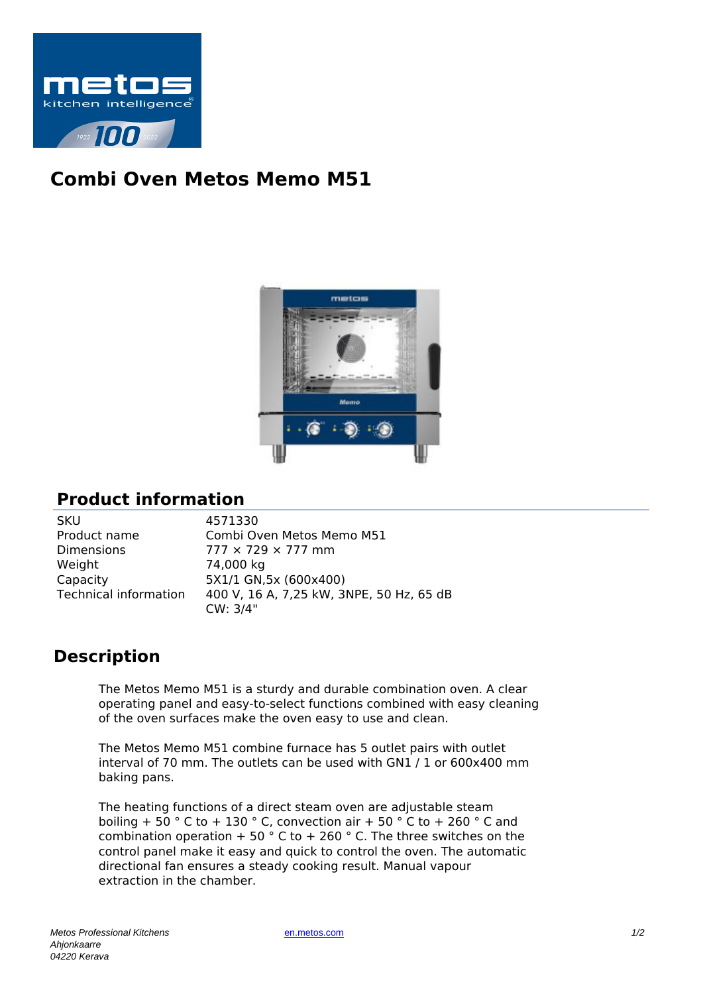

## **Combi Oven Metos Memo M51**



## **Product information**

| SKU                          |
|------------------------------|
| Product name                 |
| Dimensions                   |
| Weight                       |
| Capacity                     |
| <b>Technical information</b> |
|                              |

4571330 Combi Oven Metos Memo M51  $777 \times 729 \times 777$  mm 74,000 kg 5X1/1 GN.5x (600x400) 400 V, 16 A, 7,25 kW, 3NPE, 50 Hz, 65 dB CW: 3/4"

## **Description**

The Metos Memo M51 is a sturdy and durable combination oven. A clear operating panel and easy-to-select functions combined with easy cleaning of the oven surfaces make the oven easy to use and clean.

The Metos Memo M51 combine furnace has 5 outlet pairs with outlet interval of 70 mm. The outlets can be used with GN1 / 1 or 600x400 mm baking pans.

The heating functions of a direct steam oven are adjustable steam boiling +  $50^\circ$  C to + 130 ° C, convection air + 50 ° C to + 260 ° C and combination operation + 50  $\degree$  C to + 260  $\degree$  C. The three switches on the control panel make it easy and quick to control the oven. The automatic directional fan ensures a steady cooking result. Manual vapour extraction in the chamber.